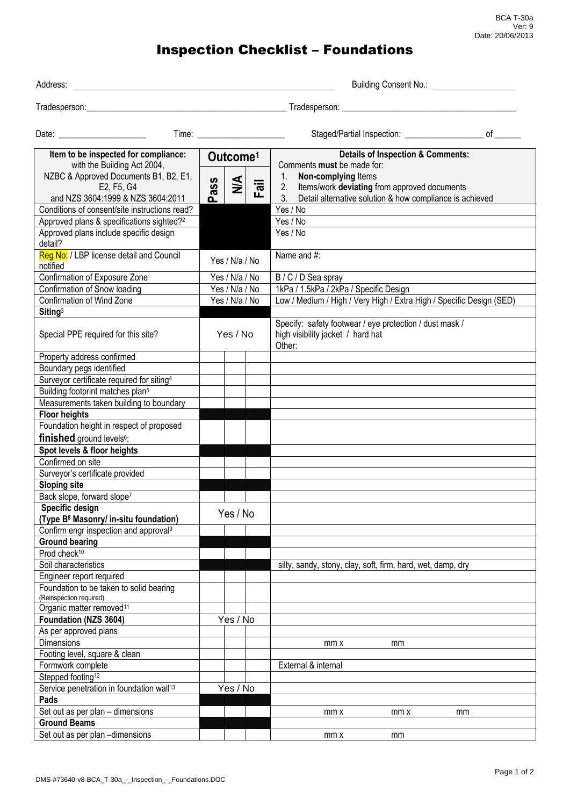BCA T-30a Ver: 9 Date: 20/06/2013

## Inspection Checklist – Foundations

| Address:                                                                                 | Building Consent No.: <b>Example 2</b>                  |                                                                                                                                                |  |  |  |  |
|------------------------------------------------------------------------------------------|---------------------------------------------------------|------------------------------------------------------------------------------------------------------------------------------------------------|--|--|--|--|
|                                                                                          |                                                         |                                                                                                                                                |  |  |  |  |
|                                                                                          |                                                         | Staged/Partial Inspection: _________________________ of _______                                                                                |  |  |  |  |
| Item to be inspected for compliance:<br>with the Building Act 2004,                      | Outcome <sup>1</sup>                                    | <b>Details of Inspection &amp; Comments:</b><br>Comments must be made for:                                                                     |  |  |  |  |
| NZBC & Approved Documents B1, B2, E1,<br>E2, F5, G4<br>and NZS 3604:1999 & NZS 3604:2011 | $\frac{4}{2}$<br>Pass<br>$\overline{\overline{a}}$<br>ட | Non-complying Items<br>1.<br>2. Items/work deviating from approved documents<br>Detail alternative solution & how compliance is achieved<br>3. |  |  |  |  |
| Conditions of consent/site instructions read?                                            |                                                         | Yes / No                                                                                                                                       |  |  |  |  |
| Approved plans & specifications sighted? <sup>2</sup>                                    |                                                         | Yes / No                                                                                                                                       |  |  |  |  |
| Approved plans include specific design<br>detail?                                        |                                                         | Yes / No                                                                                                                                       |  |  |  |  |
| Reg No: / LBP license detail and Council<br>notified                                     | Yes / N/a / No                                          | Name and #:                                                                                                                                    |  |  |  |  |
| Confirmation of Exposure Zone                                                            | Yes / N/a / No                                          | B / C / D Sea spray                                                                                                                            |  |  |  |  |
| Confirmation of Snow loading                                                             | Yes / N/a / No                                          | 1kPa / 1.5kPa / 2kPa / Specific Design                                                                                                         |  |  |  |  |
| Confirmation of Wind Zone                                                                | Yes / N/a / No                                          | Low / Medium / High / Very High / Extra High / Specific Design (SED)                                                                           |  |  |  |  |
| Siting <sup>3</sup>                                                                      |                                                         |                                                                                                                                                |  |  |  |  |
| Special PPE required for this site?                                                      | Yes / No                                                | Specify: safety footwear / eye protection / dust mask /<br>high visibility jacket / hard hat<br>Other:                                         |  |  |  |  |
| Property address confirmed                                                               |                                                         |                                                                                                                                                |  |  |  |  |
| Boundary pegs identified                                                                 |                                                         |                                                                                                                                                |  |  |  |  |
| Surveyor certificate required for siting <sup>4</sup>                                    |                                                         |                                                                                                                                                |  |  |  |  |
| Building footprint matches plan <sup>5</sup>                                             |                                                         |                                                                                                                                                |  |  |  |  |
| Measurements taken building to boundary                                                  |                                                         |                                                                                                                                                |  |  |  |  |
| <b>Floor heights</b>                                                                     |                                                         |                                                                                                                                                |  |  |  |  |
| Foundation height in respect of proposed                                                 |                                                         |                                                                                                                                                |  |  |  |  |
| finished ground levels <sup>6</sup> :                                                    |                                                         |                                                                                                                                                |  |  |  |  |
| Spot levels & floor heights                                                              |                                                         |                                                                                                                                                |  |  |  |  |
| Confirmed on site                                                                        |                                                         |                                                                                                                                                |  |  |  |  |
| Surveyor's certificate provided                                                          |                                                         |                                                                                                                                                |  |  |  |  |
| <b>Sloping site</b>                                                                      |                                                         |                                                                                                                                                |  |  |  |  |
| Back slope, forward slope <sup>7</sup>                                                   |                                                         |                                                                                                                                                |  |  |  |  |
| Specific design                                                                          |                                                         |                                                                                                                                                |  |  |  |  |
| (Type B <sup>8</sup> Masonry/ in-situ foundation)                                        | Yes / No                                                |                                                                                                                                                |  |  |  |  |
| Confirm engr inspection and approval <sup>9</sup>                                        |                                                         |                                                                                                                                                |  |  |  |  |
| <b>Ground bearing</b>                                                                    |                                                         |                                                                                                                                                |  |  |  |  |
| Prod check <sup>10</sup>                                                                 |                                                         |                                                                                                                                                |  |  |  |  |
| Soil characteristics                                                                     |                                                         | silty, sandy, stony, clay, soft, firm, hard, wet, damp, dry                                                                                    |  |  |  |  |
| Engineer report required                                                                 |                                                         |                                                                                                                                                |  |  |  |  |
| Foundation to be taken to solid bearing<br>(Reinspection required)                       |                                                         |                                                                                                                                                |  |  |  |  |
| Organic matter removed <sup>11</sup>                                                     |                                                         |                                                                                                                                                |  |  |  |  |
| Foundation (NZS 3604)                                                                    | Yes / No                                                |                                                                                                                                                |  |  |  |  |
| As per approved plans                                                                    |                                                         |                                                                                                                                                |  |  |  |  |
| <b>Dimensions</b>                                                                        |                                                         | mm x<br>mm                                                                                                                                     |  |  |  |  |
| Footing level, square & clean                                                            |                                                         |                                                                                                                                                |  |  |  |  |
| Formwork complete                                                                        |                                                         | External & internal                                                                                                                            |  |  |  |  |
| Stepped footing <sup>12</sup>                                                            |                                                         |                                                                                                                                                |  |  |  |  |
| Service penetration in foundation wall <sup>13</sup>                                     | Yes / No                                                |                                                                                                                                                |  |  |  |  |
| Pads                                                                                     |                                                         |                                                                                                                                                |  |  |  |  |
| Set out as per plan - dimensions                                                         |                                                         | mm x<br>mm x<br>mm                                                                                                                             |  |  |  |  |
| <b>Ground Beams</b>                                                                      |                                                         |                                                                                                                                                |  |  |  |  |
| Set out as per plan -dimensions                                                          |                                                         | mm x<br>mm                                                                                                                                     |  |  |  |  |